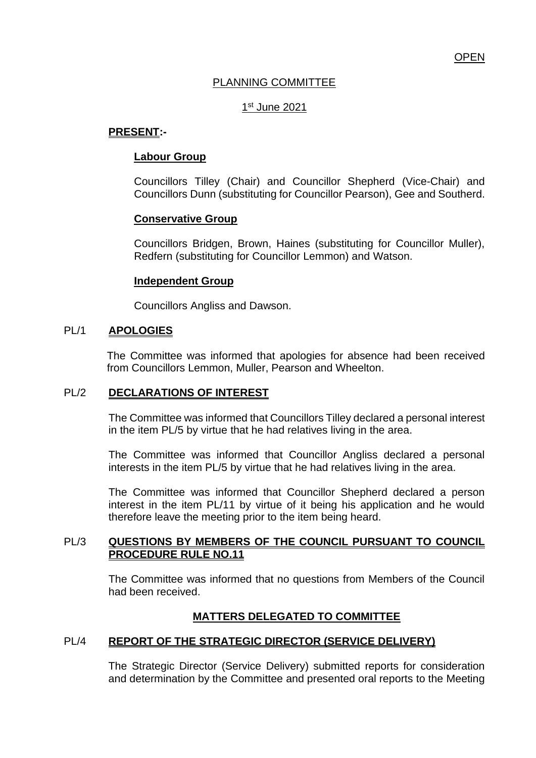# PLANNING COMMITTEE

# <u>1st June 2021</u>

# **PRESENT:-**

# **Labour Group**

Councillors Tilley (Chair) and Councillor Shepherd (Vice-Chair) and Councillors Dunn (substituting for Councillor Pearson), Gee and Southerd.

#### **Conservative Group**

Councillors Bridgen, Brown, Haines (substituting for Councillor Muller), Redfern (substituting for Councillor Lemmon) and Watson.

#### **Independent Group**

Councillors Angliss and Dawson.

### PL/1 **APOLOGIES**

The Committee was informed that apologies for absence had been received from Councillors Lemmon, Muller, Pearson and Wheelton.

#### PL/2 **DECLARATIONS OF INTEREST**

The Committee was informed that Councillors Tilley declared a personal interest in the item PL/5 by virtue that he had relatives living in the area.

The Committee was informed that Councillor Angliss declared a personal interests in the item PL/5 by virtue that he had relatives living in the area.

The Committee was informed that Councillor Shepherd declared a person interest in the item PL/11 by virtue of it being his application and he would therefore leave the meeting prior to the item being heard.

# PL/3 **QUESTIONS BY MEMBERS OF THE COUNCIL PURSUANT TO COUNCIL PROCEDURE RULE NO.11**

The Committee was informed that no questions from Members of the Council had been received.

# **MATTERS DELEGATED TO COMMITTEE**

# PL/4 **REPORT OF THE STRATEGIC DIRECTOR (SERVICE DELIVERY)**

The Strategic Director (Service Delivery) submitted reports for consideration and determination by the Committee and presented oral reports to the Meeting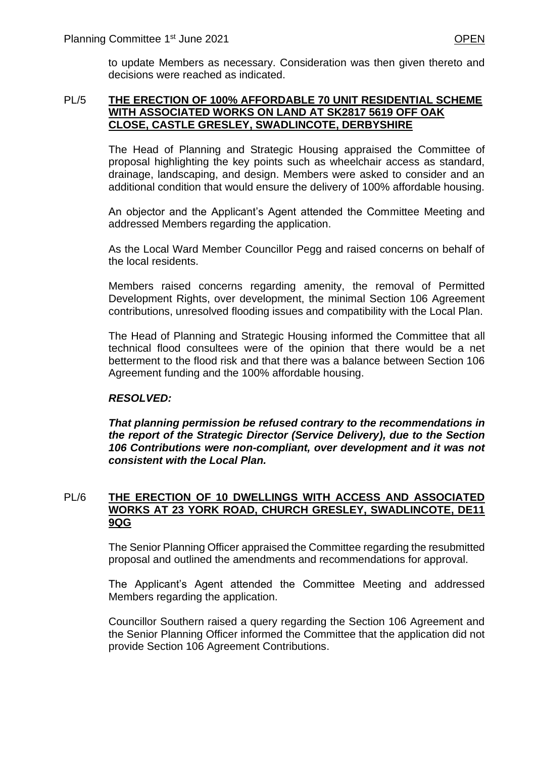to update Members as necessary. Consideration was then given thereto and decisions were reached as indicated.

## PL/5 **THE ERECTION OF 100% AFFORDABLE 70 UNIT RESIDENTIAL SCHEME WITH ASSOCIATED WORKS ON LAND AT SK2817 5619 OFF OAK CLOSE, CASTLE GRESLEY, SWADLINCOTE, DERBYSHIRE**

The Head of Planning and Strategic Housing appraised the Committee of proposal highlighting the key points such as wheelchair access as standard, drainage, landscaping, and design. Members were asked to consider and an additional condition that would ensure the delivery of 100% affordable housing.

An objector and the Applicant's Agent attended the Committee Meeting and addressed Members regarding the application.

As the Local Ward Member Councillor Pegg and raised concerns on behalf of the local residents.

Members raised concerns regarding amenity, the removal of Permitted Development Rights, over development, the minimal Section 106 Agreement contributions, unresolved flooding issues and compatibility with the Local Plan.

The Head of Planning and Strategic Housing informed the Committee that all technical flood consultees were of the opinion that there would be a net betterment to the flood risk and that there was a balance between Section 106 Agreement funding and the 100% affordable housing.

# *RESOLVED:*

*That planning permission be refused contrary to the recommendations in the report of the Strategic Director (Service Delivery), due to the Section 106 Contributions were non-compliant, over development and it was not consistent with the Local Plan.* 

# PL/6 **THE ERECTION OF 10 DWELLINGS WITH ACCESS AND ASSOCIATED WORKS AT 23 YORK ROAD, CHURCH GRESLEY, SWADLINCOTE, DE11 9QG**

The Senior Planning Officer appraised the Committee regarding the resubmitted proposal and outlined the amendments and recommendations for approval.

The Applicant's Agent attended the Committee Meeting and addressed Members regarding the application.

Councillor Southern raised a query regarding the Section 106 Agreement and the Senior Planning Officer informed the Committee that the application did not provide Section 106 Agreement Contributions.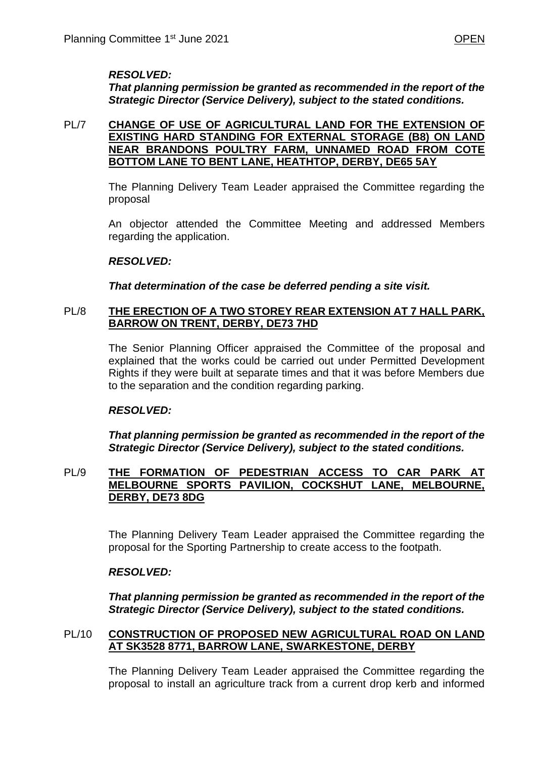# *RESOLVED:*

*That planning permission be granted as recommended in the report of the Strategic Director (Service Delivery), subject to the stated conditions.*

### PL/7 **CHANGE OF USE OF AGRICULTURAL LAND FOR THE EXTENSION OF EXISTING HARD STANDING FOR EXTERNAL STORAGE (B8) ON LAND NEAR BRANDONS POULTRY FARM, UNNAMED ROAD FROM COTE BOTTOM LANE TO BENT LANE, HEATHTOP, DERBY, DE65 5AY**

The Planning Delivery Team Leader appraised the Committee regarding the proposal

An objector attended the Committee Meeting and addressed Members regarding the application.

#### *RESOLVED:*

*That determination of the case be deferred pending a site visit.* 

### PL/8 **THE ERECTION OF A TWO STOREY REAR EXTENSION AT 7 HALL PARK, BARROW ON TRENT, DERBY, DE73 7HD**

The Senior Planning Officer appraised the Committee of the proposal and explained that the works could be carried out under Permitted Development Rights if they were built at separate times and that it was before Members due to the separation and the condition regarding parking.

# *RESOLVED:*

*That planning permission be granted as recommended in the report of the Strategic Director (Service Delivery), subject to the stated conditions.*

### PL/9 **THE FORMATION OF PEDESTRIAN ACCESS TO CAR PARK AT MELBOURNE SPORTS PAVILION, COCKSHUT LANE, MELBOURNE, DERBY, DE73 8DG**

The Planning Delivery Team Leader appraised the Committee regarding the proposal for the Sporting Partnership to create access to the footpath.

#### *RESOLVED:*

*That planning permission be granted as recommended in the report of the Strategic Director (Service Delivery), subject to the stated conditions.*

#### PL/10 **CONSTRUCTION OF PROPOSED NEW AGRICULTURAL ROAD ON LAND AT SK3528 8771, BARROW LANE, SWARKESTONE, DERBY**

The Planning Delivery Team Leader appraised the Committee regarding the proposal to install an agriculture track from a current drop kerb and informed